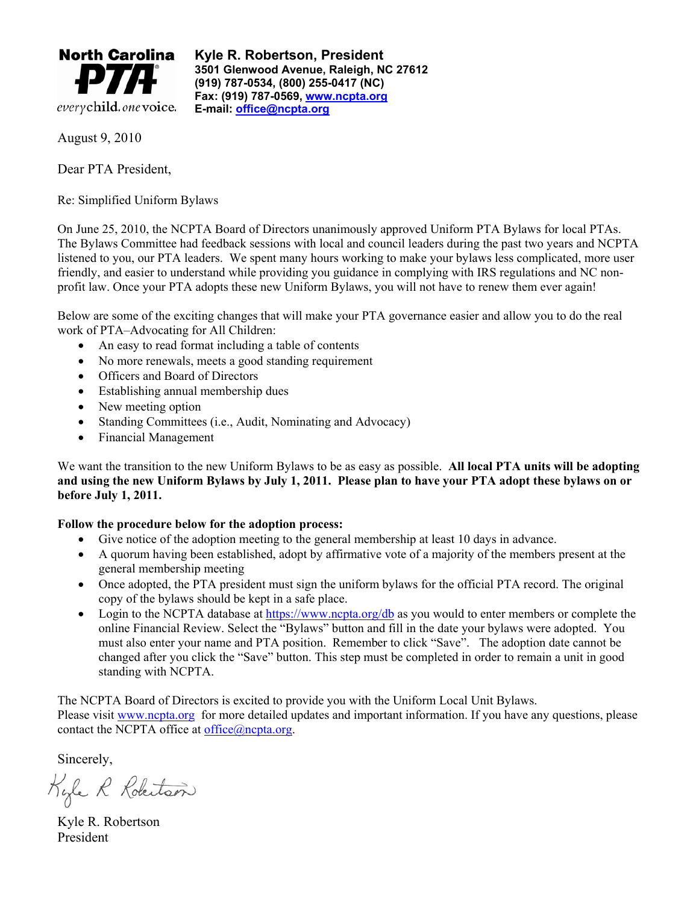

**Kyle R. Robertson, President 3501 Glenwood Avenue, Raleigh, NC 27612 (919) 787-0534, (800) 255-0417 (NC) Fax: (919) 787-0569, www.ncpta.org E-mail: office@ncpta.org** 

August 9, 2010

Dear PTA President,

Re: Simplified Uniform Bylaws

On June 25, 2010, the NCPTA Board of Directors unanimously approved Uniform PTA Bylaws for local PTAs. The Bylaws Committee had feedback sessions with local and council leaders during the past two years and NCPTA listened to you, our PTA leaders. We spent many hours working to make your bylaws less complicated, more user friendly, and easier to understand while providing you guidance in complying with IRS regulations and NC nonprofit law. Once your PTA adopts these new Uniform Bylaws, you will not have to renew them ever again!

Below are some of the exciting changes that will make your PTA governance easier and allow you to do the real work of PTA–Advocating for All Children:

- An easy to read format including a table of contents
- No more renewals, meets a good standing requirement
- Officers and Board of Directors
- Establishing annual membership dues
- $\bullet$  New meeting option
- $\bullet$  Standing Committees (i.e., Audit, Nominating and Advocacy)
- Financial Management

We want the transition to the new Uniform Bylaws to be as easy as possible. **All local PTA units will be adopting and using the new Uniform Bylaws by July 1, 2011. Please plan to have your PTA adopt these bylaws on or before July 1, 2011.** 

#### **Follow the procedure below for the adoption process:**

- Give notice of the adoption meeting to the general membership at least 10 days in advance.
- x A quorum having been established, adopt by affirmative vote of a majority of the members present at the general membership meeting
- Once adopted, the PTA president must sign the uniform bylaws for the official PTA record. The original copy of the bylaws should be kept in a safe place.
- Login to the NCPTA database at https://www.ncpta.org/db as you would to enter members or complete the online Financial Review. Select the "Bylaws" button and fill in the date your bylaws were adopted. You must also enter your name and PTA position. Remember to click "Save". The adoption date cannot be changed after you click the "Save" button. This step must be completed in order to remain a unit in good standing with NCPTA.

The NCPTA Board of Directors is excited to provide you with the Uniform Local Unit Bylaws. Please visit www.ncpta.org for more detailed updates and important information. If you have any questions, please contact the NCPTA office at office $@$ ncpta.org.

Sincerely,

Kyle R Robertson

Kyle R. Robertson President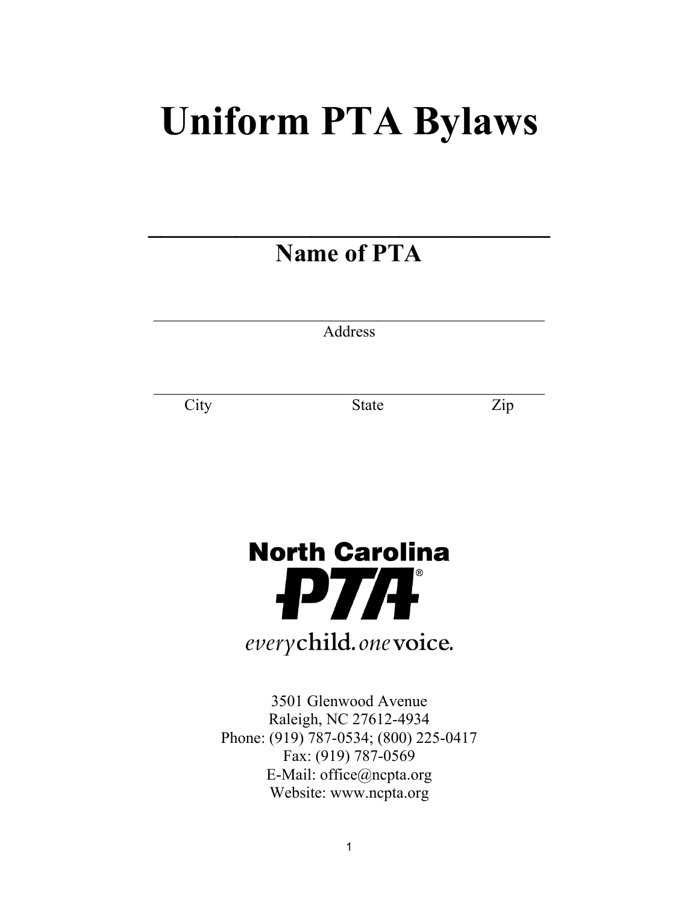# **Uniform PTA Bylaws**

**\_\_\_\_\_\_\_\_\_\_\_\_\_\_\_\_\_\_\_\_\_\_\_\_\_\_\_\_\_\_\_\_** 

\_\_\_\_\_\_\_\_\_\_\_\_\_\_\_\_\_\_\_\_\_\_\_\_\_\_\_\_\_\_\_\_\_\_\_\_\_\_\_\_\_\_\_\_\_\_\_\_\_ Address

City State Zip

\_\_\_\_\_\_\_\_\_\_\_\_\_\_\_\_\_\_\_\_\_\_\_\_\_\_\_\_\_\_\_\_\_\_\_\_\_\_\_\_\_\_\_\_\_\_\_\_\_



3501 Glenwood Avenue Raleigh, NC 27612-4934 Phone: (919) 787-0534; (800) 225-0417 Fax: (919) 787-0569 E-Mail: office@ncpta.org Website: www.ncpta.org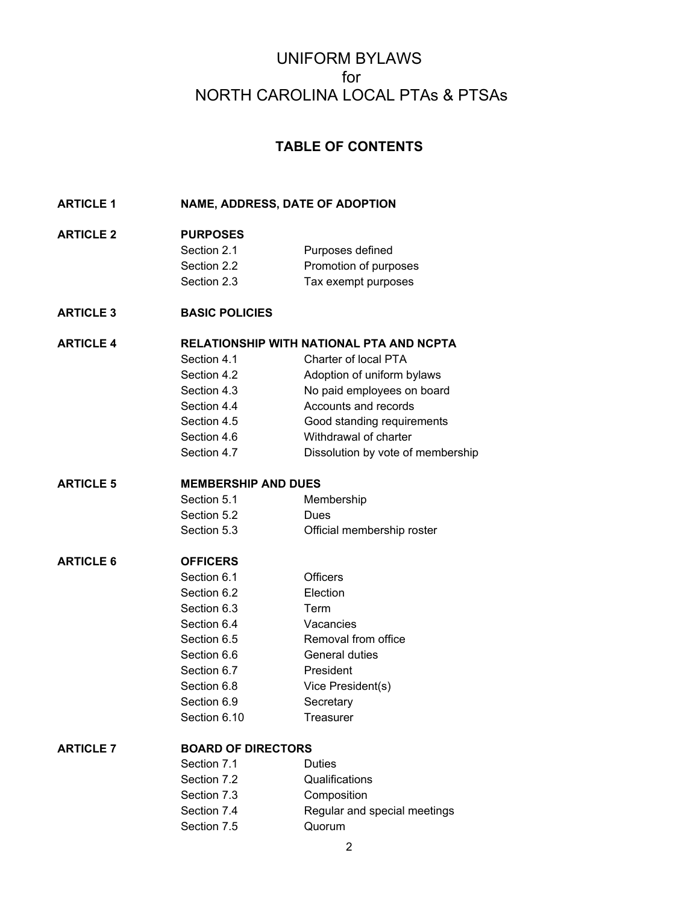## UNIFORM BYLAWS for NORTH CAROLINA LOCAL PTAs & PTSAs

## **TABLE OF CONTENTS**

**ARTICLE 1 NAME, ADDRESS, DATE OF ADOPTION** 

#### **ARTICLE 2 PURPOSES**

| Section 2.1 | Purposes defined      |
|-------------|-----------------------|
| Section 2.2 | Promotion of purposes |
| Section 2.3 | Tax exempt purposes   |

#### **ARTICLE 3 BASIC POLICIES**

#### **ARTICLE 4 RELATIONSHIP WITH NATIONAL PTA AND NCPTA**

| Section 4.1 | Charter of local PTA       |
|-------------|----------------------------|
| Section 4.2 | Adoption of uniform bylaws |
| Section 4.3 | No paid employees on board |
| Section 4.4 | Accounts and records       |
| Section 4.5 | Good standing requirements |
| Section 4.6 | Withdrawal of charter      |
|             |                            |

Section 4.7 Dissolution by vote of membership

## **ARTICLE 5 MEMBERSHIP AND DUES**

| Section 5.1 | Membership                 |
|-------------|----------------------------|
| Section 5.2 | Dues                       |
| Section 5.3 | Official membership roster |

#### **ARTICLE 6 OFFICERS**

| Section 6.1  | Officers            |
|--------------|---------------------|
| Section 6.2  | Election            |
| Section 6.3  | Term                |
| Section 6.4  | Vacancies           |
| Section 6.5  | Removal from office |
| Section 6.6  | General duties      |
| Section 6.7  | President           |
| Section 6.8  | Vice President(s)   |
| Section 6.9  | Secretary           |
| Section 6.10 | Treasurer           |

## **ARTICLE 7 BOARD OF DIRECTORS**

Section 7.1 Duties Section 7.2 Qualifications Section 7.3 Composition Section 7.4 Regular and special meetings Section 7.5 Quorum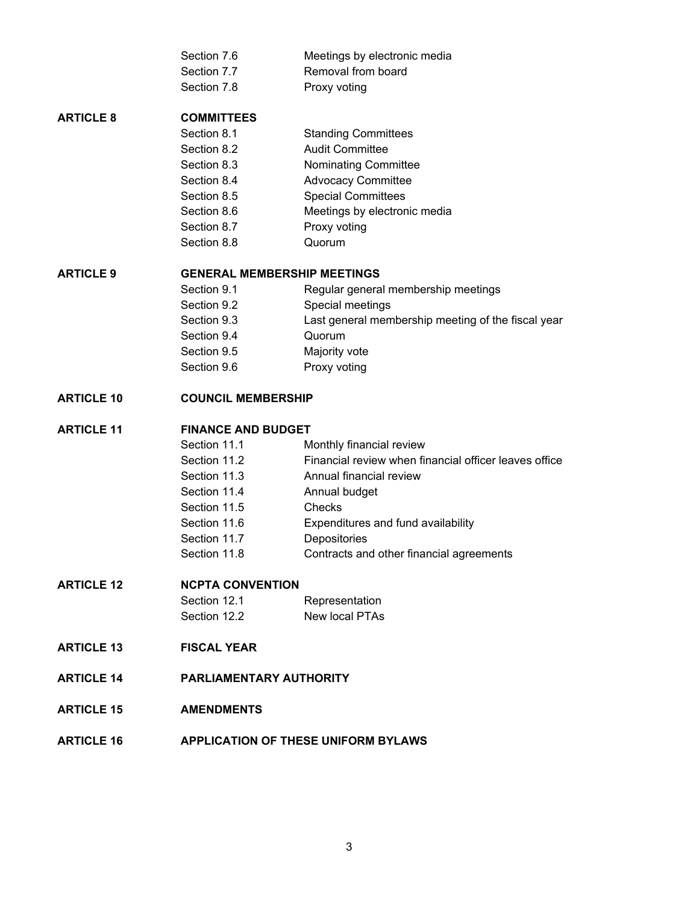|                   | Section 7.6                                | Meetings by electronic media                          |  |
|-------------------|--------------------------------------------|-------------------------------------------------------|--|
|                   | Section 7.7                                | Removal from board                                    |  |
|                   | Section 7.8                                | Proxy voting                                          |  |
| <b>ARTICLE 8</b>  | <b>COMMITTEES</b>                          |                                                       |  |
|                   | Section 8.1                                | <b>Standing Committees</b>                            |  |
|                   | Section 8.2                                | <b>Audit Committee</b>                                |  |
|                   | Section 8.3                                | <b>Nominating Committee</b>                           |  |
|                   | Section 8.4                                | <b>Advocacy Committee</b>                             |  |
|                   | Section 8.5                                | <b>Special Committees</b>                             |  |
|                   | Section 8.6                                | Meetings by electronic media                          |  |
|                   | Section 8.7                                | Proxy voting                                          |  |
|                   | Section 8.8                                | Quorum                                                |  |
| <b>ARTICLE 9</b>  |                                            | <b>GENERAL MEMBERSHIP MEETINGS</b>                    |  |
|                   | Section 9.1                                | Regular general membership meetings                   |  |
|                   | Section 9.2                                | Special meetings                                      |  |
|                   | Section 9.3                                | Last general membership meeting of the fiscal year    |  |
|                   | Section 9.4                                | Quorum                                                |  |
|                   | Section 9.5                                | Majority vote                                         |  |
|                   | Section 9.6                                | Proxy voting                                          |  |
| <b>ARTICLE 10</b> |                                            | <b>COUNCIL MEMBERSHIP</b>                             |  |
| <b>ARTICLE 11</b> |                                            | <b>FINANCE AND BUDGET</b>                             |  |
|                   | Section 11.1                               | Monthly financial review                              |  |
|                   | Section 11.2                               | Financial review when financial officer leaves office |  |
|                   | Section 11.3                               | Annual financial review                               |  |
|                   | Section 11.4                               | Annual budget                                         |  |
|                   | Section 11.5                               | Checks                                                |  |
|                   | Section 11.6                               | Expenditures and fund availability                    |  |
|                   | Section 11.7                               | Depositories                                          |  |
|                   | Section 11.8                               | Contracts and other financial agreements              |  |
| <b>ARTICLE 12</b> |                                            | <b>NCPTA CONVENTION</b>                               |  |
|                   | Section 12.1                               | Representation                                        |  |
|                   | Section 12.2                               | New local PTAs                                        |  |
| <b>ARTICLE 13</b> | <b>FISCAL YEAR</b>                         |                                                       |  |
| <b>ARTICLE 14</b> | <b>PARLIAMENTARY AUTHORITY</b>             |                                                       |  |
| <b>ARTICLE 15</b> | <b>AMENDMENTS</b>                          |                                                       |  |
| <b>ARTICLE 16</b> | <b>APPLICATION OF THESE UNIFORM BYLAWS</b> |                                                       |  |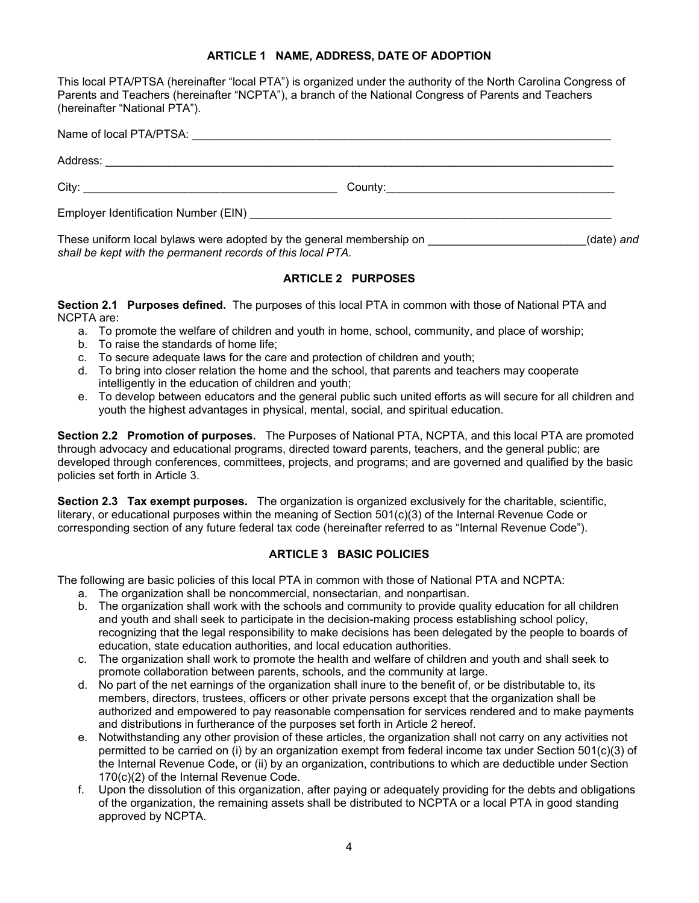#### **ARTICLE 1 NAME, ADDRESS, DATE OF ADOPTION**

This local PTA/PTSA (hereinafter "local PTA") is organized under the authority of the North Carolina Congress of Parents and Teachers (hereinafter "NCPTA"), a branch of the National Congress of Parents and Teachers (hereinafter "National PTA").

| These uniform local bylaws were adopted by the general membership on | (date) and |
|----------------------------------------------------------------------|------------|

#### **ARTICLE 2 PURPOSES**

**Section 2.1 Purposes defined.** The purposes of this local PTA in common with those of National PTA and NCPTA are:

- a. To promote the welfare of children and youth in home, school, community, and place of worship;
- b. To raise the standards of home life;

*shall be kept with the permanent records of this local PTA.*

- c. To secure adequate laws for the care and protection of children and youth;
- d. To bring into closer relation the home and the school, that parents and teachers may cooperate intelligently in the education of children and youth;
- e. To develop between educators and the general public such united efforts as will secure for all children and youth the highest advantages in physical, mental, social, and spiritual education.

**Section 2.2 Promotion of purposes.** The Purposes of National PTA, NCPTA, and this local PTA are promoted through advocacy and educational programs, directed toward parents, teachers, and the general public; are developed through conferences, committees, projects, and programs; and are governed and qualified by the basic policies set forth in Article 3.

**Section 2.3 Tax exempt purposes.** The organization is organized exclusively for the charitable, scientific, literary, or educational purposes within the meaning of Section 501(c)(3) of the Internal Revenue Code or corresponding section of any future federal tax code (hereinafter referred to as "Internal Revenue Code").

#### **ARTICLE 3 BASIC POLICIES**

The following are basic policies of this local PTA in common with those of National PTA and NCPTA:

- a. The organization shall be noncommercial, nonsectarian, and nonpartisan.
- b. The organization shall work with the schools and community to provide quality education for all children and youth and shall seek to participate in the decision-making process establishing school policy, recognizing that the legal responsibility to make decisions has been delegated by the people to boards of education, state education authorities, and local education authorities.
- c. The organization shall work to promote the health and welfare of children and youth and shall seek to promote collaboration between parents, schools, and the community at large.
- d. No part of the net earnings of the organization shall inure to the benefit of, or be distributable to, its members, directors, trustees, officers or other private persons except that the organization shall be authorized and empowered to pay reasonable compensation for services rendered and to make payments and distributions in furtherance of the purposes set forth in Article 2 hereof.
- e. Notwithstanding any other provision of these articles, the organization shall not carry on any activities not permitted to be carried on (i) by an organization exempt from federal income tax under Section 501(c)(3) of the Internal Revenue Code, or (ii) by an organization, contributions to which are deductible under Section 170(c)(2) of the Internal Revenue Code.
- f. Upon the dissolution of this organization, after paying or adequately providing for the debts and obligations of the organization, the remaining assets shall be distributed to NCPTA or a local PTA in good standing approved by NCPTA.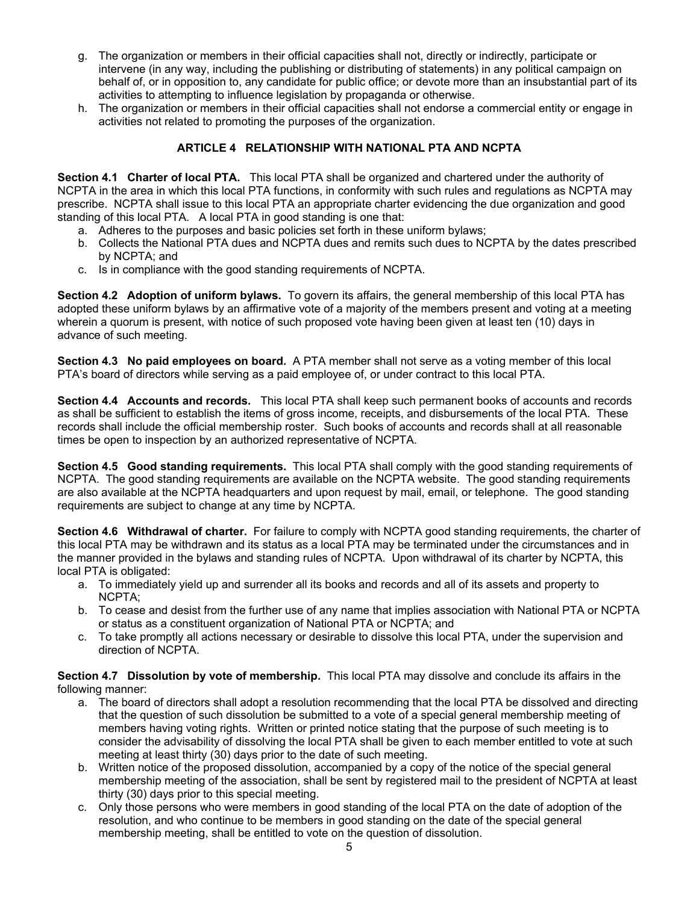- g. The organization or members in their official capacities shall not, directly or indirectly, participate or intervene (in any way, including the publishing or distributing of statements) in any political campaign on behalf of, or in opposition to, any candidate for public office; or devote more than an insubstantial part of its activities to attempting to influence legislation by propaganda or otherwise.
- h. The organization or members in their official capacities shall not endorse a commercial entity or engage in activities not related to promoting the purposes of the organization.

#### **ARTICLE 4 RELATIONSHIP WITH NATIONAL PTA AND NCPTA**

**Section 4.1 Charter of local PTA.** This local PTA shall be organized and chartered under the authority of NCPTA in the area in which this local PTA functions, in conformity with such rules and regulations as NCPTA may prescribe. NCPTA shall issue to this local PTA an appropriate charter evidencing the due organization and good standing of this local PTA. A local PTA in good standing is one that:

- a. Adheres to the purposes and basic policies set forth in these uniform bylaws;
- b. Collects the National PTA dues and NCPTA dues and remits such dues to NCPTA by the dates prescribed by NCPTA; and
- c. Is in compliance with the good standing requirements of NCPTA.

**Section 4.2 Adoption of uniform bylaws.** To govern its affairs, the general membership of this local PTA has adopted these uniform bylaws by an affirmative vote of a majority of the members present and voting at a meeting wherein a quorum is present, with notice of such proposed vote having been given at least ten (10) days in advance of such meeting.

**Section 4.3 No paid employees on board.** A PTA member shall not serve as a voting member of this local PTA's board of directors while serving as a paid employee of, or under contract to this local PTA.

**Section 4.4 Accounts and records.** This local PTA shall keep such permanent books of accounts and records as shall be sufficient to establish the items of gross income, receipts, and disbursements of the local PTA. These records shall include the official membership roster. Such books of accounts and records shall at all reasonable times be open to inspection by an authorized representative of NCPTA.

**Section 4.5 Good standing requirements.** This local PTA shall comply with the good standing requirements of NCPTA. The good standing requirements are available on the NCPTA website. The good standing requirements are also available at the NCPTA headquarters and upon request by mail, email, or telephone. The good standing requirements are subject to change at any time by NCPTA.

**Section 4.6 Withdrawal of charter.** For failure to comply with NCPTA good standing requirements, the charter of this local PTA may be withdrawn and its status as a local PTA may be terminated under the circumstances and in the manner provided in the bylaws and standing rules of NCPTA. Upon withdrawal of its charter by NCPTA, this local PTA is obligated:

- a. To immediately yield up and surrender all its books and records and all of its assets and property to NCPTA;
- b. To cease and desist from the further use of any name that implies association with National PTA or NCPTA or status as a constituent organization of National PTA or NCPTA; and
- c. To take promptly all actions necessary or desirable to dissolve this local PTA, under the supervision and direction of NCPTA.

**Section 4.7 Dissolution by vote of membership.** This local PTA may dissolve and conclude its affairs in the following manner:

- a. The board of directors shall adopt a resolution recommending that the local PTA be dissolved and directing that the question of such dissolution be submitted to a vote of a special general membership meeting of members having voting rights. Written or printed notice stating that the purpose of such meeting is to consider the advisability of dissolving the local PTA shall be given to each member entitled to vote at such meeting at least thirty (30) days prior to the date of such meeting.
- b. Written notice of the proposed dissolution, accompanied by a copy of the notice of the special general membership meeting of the association, shall be sent by registered mail to the president of NCPTA at least thirty (30) days prior to this special meeting.
- c. Only those persons who were members in good standing of the local PTA on the date of adoption of the resolution, and who continue to be members in good standing on the date of the special general membership meeting, shall be entitled to vote on the question of dissolution.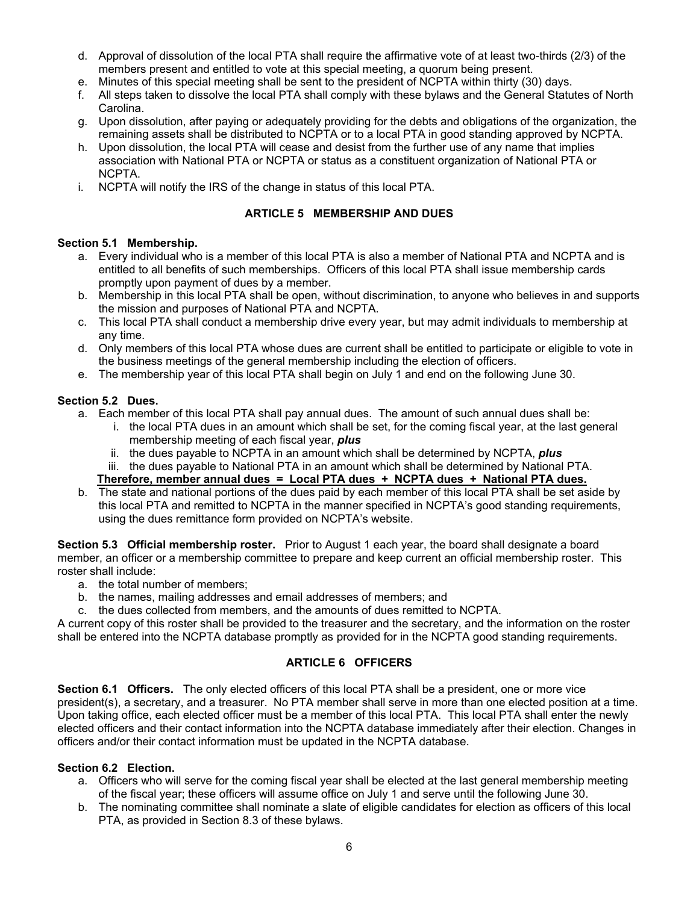- d. Approval of dissolution of the local PTA shall require the affirmative vote of at least two-thirds (2/3) of the members present and entitled to vote at this special meeting, a quorum being present.
- e. Minutes of this special meeting shall be sent to the president of NCPTA within thirty (30) days.
- f. All steps taken to dissolve the local PTA shall comply with these bylaws and the General Statutes of North Carolina.
- g. Upon dissolution, after paying or adequately providing for the debts and obligations of the organization, the remaining assets shall be distributed to NCPTA or to a local PTA in good standing approved by NCPTA.
- h. Upon dissolution, the local PTA will cease and desist from the further use of any name that implies association with National PTA or NCPTA or status as a constituent organization of National PTA or NCPTA.
- i. NCPTA will notify the IRS of the change in status of this local PTA.

#### **ARTICLE 5 MEMBERSHIP AND DUES**

#### **Section 5.1 Membership.**

- a. Every individual who is a member of this local PTA is also a member of National PTA and NCPTA and is entitled to all benefits of such memberships. Officers of this local PTA shall issue membership cards promptly upon payment of dues by a member.
- b. Membership in this local PTA shall be open, without discrimination, to anyone who believes in and supports the mission and purposes of National PTA and NCPTA.
- c. This local PTA shall conduct a membership drive every year, but may admit individuals to membership at any time.
- d. Only members of this local PTA whose dues are current shall be entitled to participate or eligible to vote in the business meetings of the general membership including the election of officers.
- e. The membership year of this local PTA shall begin on July 1 and end on the following June 30.

#### **Section 5.2 Dues.**

- a. Each member of this local PTA shall pay annual dues. The amount of such annual dues shall be:
	- i. the local PTA dues in an amount which shall be set, for the coming fiscal year, at the last general membership meeting of each fiscal year, *plus*
	- ii. the dues payable to NCPTA in an amount which shall be determined by NCPTA, *plus*
	- iii. the dues payable to National PTA in an amount which shall be determined by National PTA.  **Therefore, member annual dues = Local PTA dues + NCPTA dues + National PTA dues.**
- b. The state and national portions of the dues paid by each member of this local PTA shall be set aside by this local PTA and remitted to NCPTA in the manner specified in NCPTA's good standing requirements, using the dues remittance form provided on NCPTA's website.

**Section 5.3 Official membership roster.** Prior to August 1 each year, the board shall designate a board member, an officer or a membership committee to prepare and keep current an official membership roster. This roster shall include:

- a. the total number of members;
- b. the names, mailing addresses and email addresses of members; and
- c. the dues collected from members, and the amounts of dues remitted to NCPTA.

A current copy of this roster shall be provided to the treasurer and the secretary, and the information on the roster shall be entered into the NCPTA database promptly as provided for in the NCPTA good standing requirements.

#### **ARTICLE 6 OFFICERS**

**Section 6.1 Officers.** The only elected officers of this local PTA shall be a president, one or more vice president(s), a secretary, and a treasurer. No PTA member shall serve in more than one elected position at a time. Upon taking office, each elected officer must be a member of this local PTA. This local PTA shall enter the newly elected officers and their contact information into the NCPTA database immediately after their election. Changes in officers and/or their contact information must be updated in the NCPTA database.

#### **Section 6.2 Election.**

- a. Officers who will serve for the coming fiscal year shall be elected at the last general membership meeting of the fiscal year; these officers will assume office on July 1 and serve until the following June 30.
- b. The nominating committee shall nominate a slate of eligible candidates for election as officers of this local PTA, as provided in Section 8.3 of these bylaws.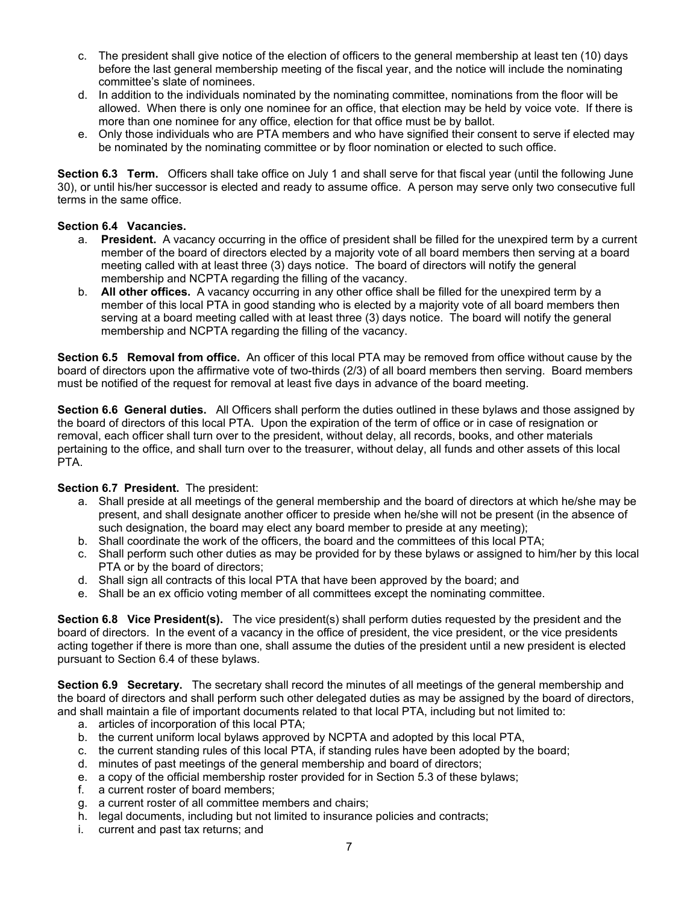- c. The president shall give notice of the election of officers to the general membership at least ten (10) days before the last general membership meeting of the fiscal year, and the notice will include the nominating committee's slate of nominees.
- d. In addition to the individuals nominated by the nominating committee, nominations from the floor will be allowed. When there is only one nominee for an office, that election may be held by voice vote. If there is more than one nominee for any office, election for that office must be by ballot.
- e. Only those individuals who are PTA members and who have signified their consent to serve if elected may be nominated by the nominating committee or by floor nomination or elected to such office.

**Section 6.3 Term.** Officers shall take office on July 1 and shall serve for that fiscal year (until the following June 30), or until his/her successor is elected and ready to assume office. A person may serve only two consecutive full terms in the same office.

#### **Section 6.4 Vacancies.**

- a. **President.** A vacancy occurring in the office of president shall be filled for the unexpired term by a current member of the board of directors elected by a majority vote of all board members then serving at a board meeting called with at least three (3) days notice. The board of directors will notify the general membership and NCPTA regarding the filling of the vacancy.
- b. **All other offices.** A vacancy occurring in any other office shall be filled for the unexpired term by a member of this local PTA in good standing who is elected by a majority vote of all board members then serving at a board meeting called with at least three (3) days notice. The board will notify the general membership and NCPTA regarding the filling of the vacancy.

**Section 6.5 Removal from office.** An officer of this local PTA may be removed from office without cause by the board of directors upon the affirmative vote of two-thirds (2/3) of all board members then serving. Board members must be notified of the request for removal at least five days in advance of the board meeting.

**Section 6.6 General duties.** All Officers shall perform the duties outlined in these bylaws and those assigned by the board of directors of this local PTA. Upon the expiration of the term of office or in case of resignation or removal, each officer shall turn over to the president, without delay, all records, books, and other materials pertaining to the office, and shall turn over to the treasurer, without delay, all funds and other assets of this local PTA.

#### **Section 6.7 President.** The president:

- a. Shall preside at all meetings of the general membership and the board of directors at which he/she may be present, and shall designate another officer to preside when he/she will not be present (in the absence of such designation, the board may elect any board member to preside at any meeting);
- b. Shall coordinate the work of the officers, the board and the committees of this local PTA;
- c. Shall perform such other duties as may be provided for by these bylaws or assigned to him/her by this local PTA or by the board of directors;
- d. Shall sign all contracts of this local PTA that have been approved by the board; and
- e. Shall be an ex officio voting member of all committees except the nominating committee.

**Section 6.8 Vice President(s).** The vice president(s) shall perform duties requested by the president and the board of directors. In the event of a vacancy in the office of president, the vice president, or the vice presidents acting together if there is more than one, shall assume the duties of the president until a new president is elected pursuant to Section 6.4 of these bylaws.

**Section 6.9 Secretary.** The secretary shall record the minutes of all meetings of the general membership and the board of directors and shall perform such other delegated duties as may be assigned by the board of directors, and shall maintain a file of important documents related to that local PTA, including but not limited to:

- a. articles of incorporation of this local PTA;
- b. the current uniform local bylaws approved by NCPTA and adopted by this local PTA,
- c. the current standing rules of this local PTA, if standing rules have been adopted by the board;
- d. minutes of past meetings of the general membership and board of directors;
- e. a copy of the official membership roster provided for in Section 5.3 of these bylaws;
- f. a current roster of board members;
- g. a current roster of all committee members and chairs;
- h. legal documents, including but not limited to insurance policies and contracts;
- i. current and past tax returns; and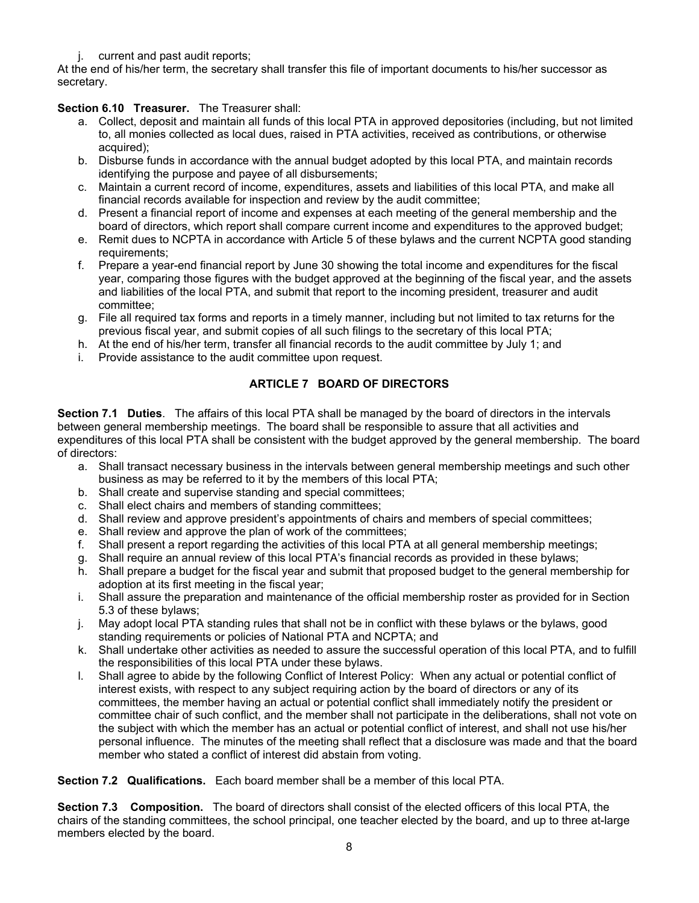j. current and past audit reports;

At the end of his/her term, the secretary shall transfer this file of important documents to his/her successor as secretary.

## **Section 6.10 Treasurer.** The Treasurer shall:

- a. Collect, deposit and maintain all funds of this local PTA in approved depositories (including, but not limited to, all monies collected as local dues, raised in PTA activities, received as contributions, or otherwise acquired);
- b. Disburse funds in accordance with the annual budget adopted by this local PTA, and maintain records identifying the purpose and payee of all disbursements;
- c. Maintain a current record of income, expenditures, assets and liabilities of this local PTA, and make all financial records available for inspection and review by the audit committee;
- d. Present a financial report of income and expenses at each meeting of the general membership and the board of directors, which report shall compare current income and expenditures to the approved budget;
- e. Remit dues to NCPTA in accordance with Article 5 of these bylaws and the current NCPTA good standing requirements;
- f. Prepare a year-end financial report by June 30 showing the total income and expenditures for the fiscal year, comparing those figures with the budget approved at the beginning of the fiscal year, and the assets and liabilities of the local PTA, and submit that report to the incoming president, treasurer and audit committee;
- g. File all required tax forms and reports in a timely manner, including but not limited to tax returns for the previous fiscal year, and submit copies of all such filings to the secretary of this local PTA;
- h. At the end of his/her term, transfer all financial records to the audit committee by July 1; and
- i. Provide assistance to the audit committee upon request.

## **ARTICLE 7 BOARD OF DIRECTORS**

**Section 7.1 Duties**. The affairs of this local PTA shall be managed by the board of directors in the intervals between general membership meetings. The board shall be responsible to assure that all activities and expenditures of this local PTA shall be consistent with the budget approved by the general membership. The board of directors:

- a. Shall transact necessary business in the intervals between general membership meetings and such other business as may be referred to it by the members of this local PTA;
- b. Shall create and supervise standing and special committees;
- c. Shall elect chairs and members of standing committees;
- d. Shall review and approve president's appointments of chairs and members of special committees;
- e. Shall review and approve the plan of work of the committees;
- f. Shall present a report regarding the activities of this local PTA at all general membership meetings;
- g. Shall require an annual review of this local PTA's financial records as provided in these bylaws;
- h. Shall prepare a budget for the fiscal year and submit that proposed budget to the general membership for adoption at its first meeting in the fiscal year;
- i. Shall assure the preparation and maintenance of the official membership roster as provided for in Section 5.3 of these bylaws;
- j. May adopt local PTA standing rules that shall not be in conflict with these bylaws or the bylaws, good standing requirements or policies of National PTA and NCPTA; and
- k. Shall undertake other activities as needed to assure the successful operation of this local PTA, and to fulfill the responsibilities of this local PTA under these bylaws.
- l. Shall agree to abide by the following Conflict of Interest Policy: When any actual or potential conflict of interest exists, with respect to any subject requiring action by the board of directors or any of its committees, the member having an actual or potential conflict shall immediately notify the president or committee chair of such conflict, and the member shall not participate in the deliberations, shall not vote on the subject with which the member has an actual or potential conflict of interest, and shall not use his/her personal influence. The minutes of the meeting shall reflect that a disclosure was made and that the board member who stated a conflict of interest did abstain from voting.

**Section 7.2 Qualifications.** Each board member shall be a member of this local PTA.

**Section 7.3 Composition.** The board of directors shall consist of the elected officers of this local PTA, the chairs of the standing committees, the school principal, one teacher elected by the board, and up to three at-large members elected by the board.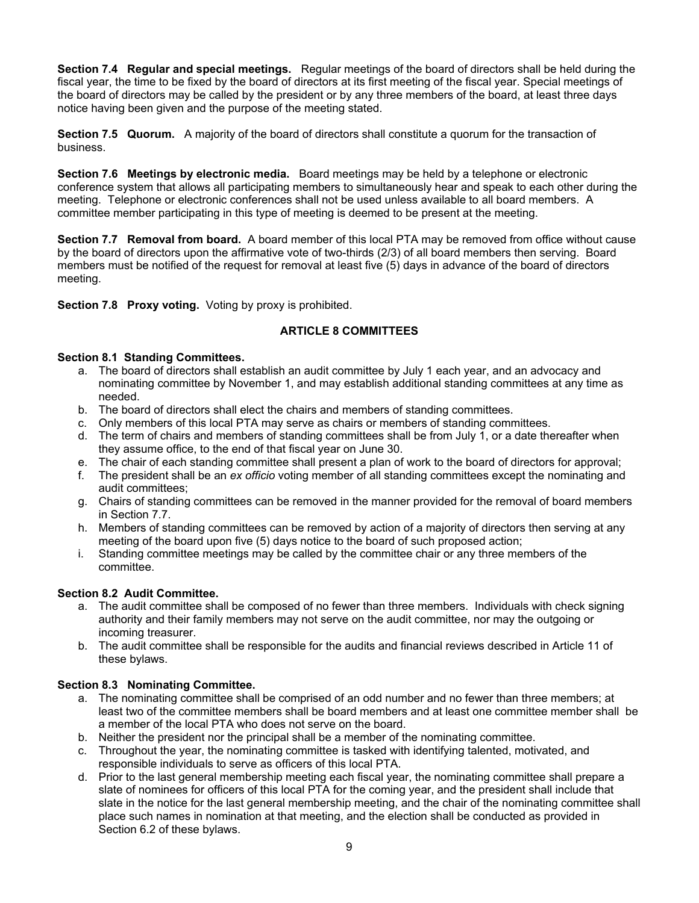**Section 7.4 Regular and special meetings.** Regular meetings of the board of directors shall be held during the fiscal year, the time to be fixed by the board of directors at its first meeting of the fiscal year. Special meetings of the board of directors may be called by the president or by any three members of the board, at least three days notice having been given and the purpose of the meeting stated.

**Section 7.5 Quorum.** A majority of the board of directors shall constitute a quorum for the transaction of business.

**Section 7.6 Meetings by electronic media.** Board meetings may be held by a telephone or electronic conference system that allows all participating members to simultaneously hear and speak to each other during the meeting. Telephone or electronic conferences shall not be used unless available to all board members. A committee member participating in this type of meeting is deemed to be present at the meeting.

**Section 7.7 Removal from board.** A board member of this local PTA may be removed from office without cause by the board of directors upon the affirmative vote of two-thirds (2/3) of all board members then serving. Board members must be notified of the request for removal at least five (5) days in advance of the board of directors meeting.

**Section 7.8 Proxy voting.** Voting by proxy is prohibited.

#### **ARTICLE 8 COMMITTEES**

#### **Section 8.1 Standing Committees.**

- a. The board of directors shall establish an audit committee by July 1 each year, and an advocacy and nominating committee by November 1, and may establish additional standing committees at any time as needed.
- b. The board of directors shall elect the chairs and members of standing committees.
- c. Only members of this local PTA may serve as chairs or members of standing committees.
- d. The term of chairs and members of standing committees shall be from July 1, or a date thereafter when they assume office, to the end of that fiscal year on June 30.
- e. The chair of each standing committee shall present a plan of work to the board of directors for approval;
- f. The president shall be an *ex officio* voting member of all standing committees except the nominating and audit committees;
- g. Chairs of standing committees can be removed in the manner provided for the removal of board members in Section 7.7.
- h. Members of standing committees can be removed by action of a majority of directors then serving at any meeting of the board upon five (5) days notice to the board of such proposed action;
- i. Standing committee meetings may be called by the committee chair or any three members of the committee.

#### **Section 8.2 Audit Committee.**

- a. The audit committee shall be composed of no fewer than three members. Individuals with check signing authority and their family members may not serve on the audit committee, nor may the outgoing or incoming treasurer.
- b. The audit committee shall be responsible for the audits and financial reviews described in Article 11 of these bylaws.

#### **Section 8.3 Nominating Committee.**

- a. The nominating committee shall be comprised of an odd number and no fewer than three members; at least two of the committee members shall be board members and at least one committee member shall be a member of the local PTA who does not serve on the board.
- b. Neither the president nor the principal shall be a member of the nominating committee.
- c. Throughout the year, the nominating committee is tasked with identifying talented, motivated, and responsible individuals to serve as officers of this local PTA.
- d. Prior to the last general membership meeting each fiscal year, the nominating committee shall prepare a slate of nominees for officers of this local PTA for the coming year, and the president shall include that slate in the notice for the last general membership meeting, and the chair of the nominating committee shall place such names in nomination at that meeting, and the election shall be conducted as provided in Section 6.2 of these bylaws.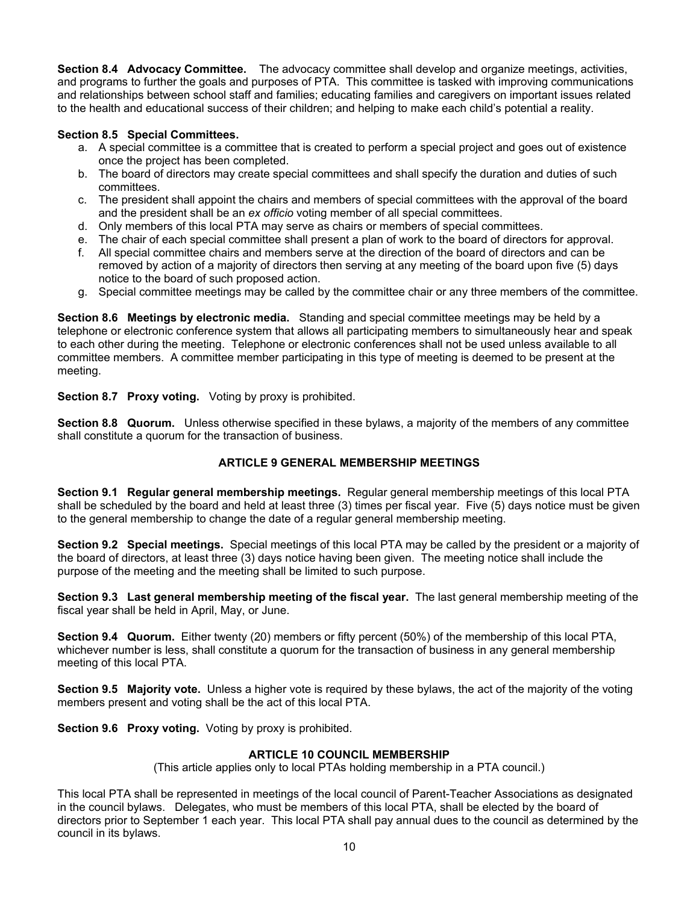**Section 8.4 Advocacy Committee.** The advocacy committee shall develop and organize meetings, activities, and programs to further the goals and purposes of PTA. This committee is tasked with improving communications and relationships between school staff and families; educating families and caregivers on important issues related to the health and educational success of their children; and helping to make each child's potential a reality.

#### **Section 8.5 Special Committees.**

- a. A special committee is a committee that is created to perform a special project and goes out of existence once the project has been completed.
- b. The board of directors may create special committees and shall specify the duration and duties of such committees.
- c. The president shall appoint the chairs and members of special committees with the approval of the board and the president shall be an *ex officio* voting member of all special committees.
- d. Only members of this local PTA may serve as chairs or members of special committees.
- e. The chair of each special committee shall present a plan of work to the board of directors for approval.
- f. All special committee chairs and members serve at the direction of the board of directors and can be removed by action of a majority of directors then serving at any meeting of the board upon five (5) days notice to the board of such proposed action.
- g. Special committee meetings may be called by the committee chair or any three members of the committee.

**Section 8.6 Meetings by electronic media.** Standing and special committee meetings may be held by a telephone or electronic conference system that allows all participating members to simultaneously hear and speak to each other during the meeting. Telephone or electronic conferences shall not be used unless available to all committee members. A committee member participating in this type of meeting is deemed to be present at the meeting.

**Section 8.7 Proxy voting.** Voting by proxy is prohibited.

**Section 8.8 Quorum.** Unless otherwise specified in these bylaws, a majority of the members of any committee shall constitute a quorum for the transaction of business.

## **ARTICLE 9 GENERAL MEMBERSHIP MEETINGS**

**Section 9.1 Regular general membership meetings.** Regular general membership meetings of this local PTA shall be scheduled by the board and held at least three (3) times per fiscal year. Five (5) days notice must be given to the general membership to change the date of a regular general membership meeting.

**Section 9.2 Special meetings.** Special meetings of this local PTA may be called by the president or a majority of the board of directors, at least three (3) days notice having been given. The meeting notice shall include the purpose of the meeting and the meeting shall be limited to such purpose.

**Section 9.3 Last general membership meeting of the fiscal year.** The last general membership meeting of the fiscal year shall be held in April, May, or June.

**Section 9.4 Quorum.** Either twenty (20) members or fifty percent (50%) of the membership of this local PTA, whichever number is less, shall constitute a quorum for the transaction of business in any general membership meeting of this local PTA.

**Section 9.5 Majority vote.** Unless a higher vote is required by these bylaws, the act of the majority of the voting members present and voting shall be the act of this local PTA.

**Section 9.6 Proxy voting.** Voting by proxy is prohibited.

## **ARTICLE 10 COUNCIL MEMBERSHIP**

(This article applies only to local PTAs holding membership in a PTA council.)

This local PTA shall be represented in meetings of the local council of Parent-Teacher Associations as designated in the council bylaws. Delegates, who must be members of this local PTA, shall be elected by the board of directors prior to September 1 each year. This local PTA shall pay annual dues to the council as determined by the council in its bylaws.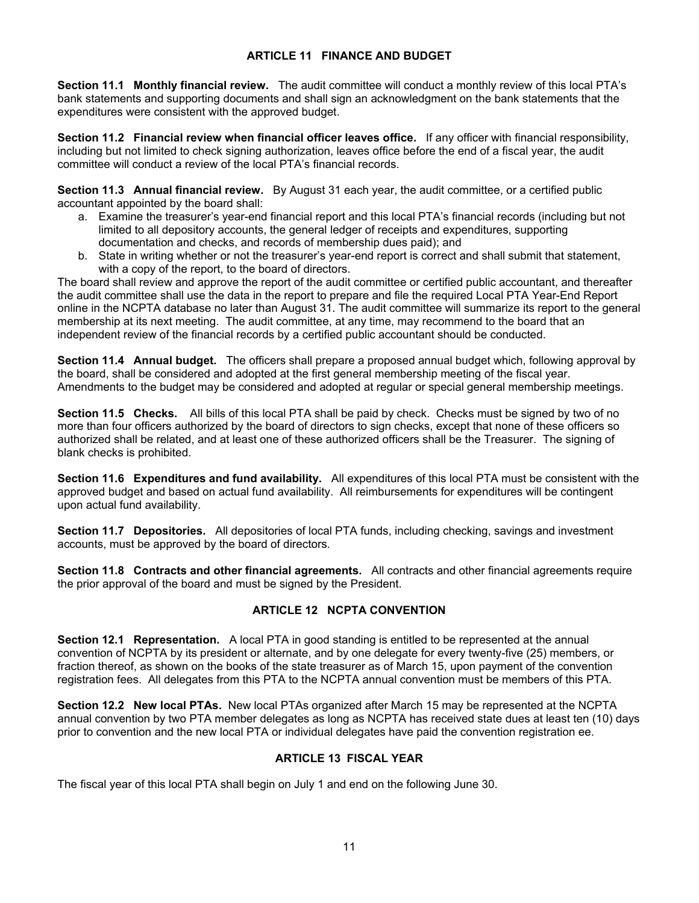#### **ARTICLE 11 FINANCE AND BUDGET**

**Section 11.1 Monthly financial review.** The audit committee will conduct a monthly review of this local PTA's bank statements and supporting documents and shall sign an acknowledgment on the bank statements that the expenditures were consistent with the approved budget.

**Section 11.2 Financial review when financial officer leaves office.** If any officer with financial responsibility, including but not limited to check signing authorization, leaves office before the end of a fiscal year, the audit committee will conduct a review of the local PTA's financial records.

**Section 11.3 Annual financial review.** By August 31 each year, the audit committee, or a certified public accountant appointed by the board shall:

- a. Examine the treasurer's year-end financial report and this local PTA's financial records (including but not limited to all depository accounts, the general ledger of receipts and expenditures, supporting documentation and checks, and records of membership dues paid); and
- b. State in writing whether or not the treasurer's year-end report is correct and shall submit that statement, with a copy of the report, to the board of directors.

The board shall review and approve the report of the audit committee or certified public accountant, and thereafter the audit committee shall use the data in the report to prepare and file the required Local PTA Year-End Report online in the NCPTA database no later than August 31. The audit committee will summarize its report to the general membership at its next meeting. The audit committee, at any time, may recommend to the board that an independent review of the financial records by a certified public accountant should be conducted.

**Section 11.4 Annual budget.** The officers shall prepare a proposed annual budget which, following approval by the board, shall be considered and adopted at the first general membership meeting of the fiscal year. Amendments to the budget may be considered and adopted at regular or special general membership meetings.

**Section 11.5 Checks.** All bills of this local PTA shall be paid by check. Checks must be signed by two of no more than four officers authorized by the board of directors to sign checks, except that none of these officers so authorized shall be related, and at least one of these authorized officers shall be the Treasurer. The signing of blank checks is prohibited.

**Section 11.6 Expenditures and fund availability.** All expenditures of this local PTA must be consistent with the approved budget and based on actual fund availability. All reimbursements for expenditures will be contingent upon actual fund availability.

**Section 11.7 Depositories.** All depositories of local PTA funds, including checking, savings and investment accounts, must be approved by the board of directors.

**Section 11.8 Contracts and other financial agreements.** All contracts and other financial agreements require the prior approval of the board and must be signed by the President.

## **ARTICLE 12 NCPTA CONVENTION**

**Section 12.1 Representation.** A local PTA in good standing is entitled to be represented at the annual convention of NCPTA by its president or alternate, and by one delegate for every twenty-five (25) members, or fraction thereof, as shown on the books of the state treasurer as of March 15, upon payment of the convention registration fees. All delegates from this PTA to the NCPTA annual convention must be members of this PTA.

**Section 12.2 New local PTAs.** New local PTAs organized after March 15 may be represented at the NCPTA annual convention by two PTA member delegates as long as NCPTA has received state dues at least ten (10) days prior to convention and the new local PTA or individual delegates have paid the convention registration ee.

#### **ARTICLE 13 FISCAL YEAR**

The fiscal year of this local PTA shall begin on July 1 and end on the following June 30.